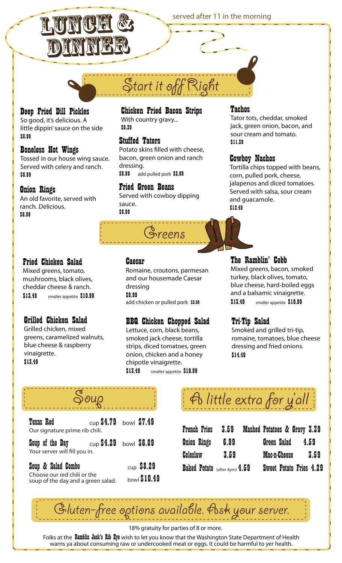



# Start it off Right

### Deep Fried Dill Pickles

So good, it's delicious. A little dippin' sauce on the side \$8.99

**Boneless Hot Wings**<br>Tossed in our house wing sauce. Served with celery and ranch. \$8.99

**Onion Rings<br>An old favorite, served with** ranch. Delicious. \$6.99

### **Chicken Fried Bacon Strips**<br>With country gravy... \$9.29

**Stuffed Taters**<br>Potato skins filled with cheese, bacon, green onion and ranch dressing. \$8.99 add pulled pork \$2.99

**Fried Green Beans**<br>Served with cowboy dipping sauce. \$8.99



**Caesar**<br>Romaine, croutons, parmesan and our housemade Caesar dressing \$9.99 add chicken or pulled pork \$3.99

## **BBQ Chicken Chopped Salad Lettuce, corn, black beans,**

smoked jack cheese, tortilla strips, diced tomatoes, green onion, chicken and a honey chipotle vinaigrette. \$13.49 smaller appetite \$10.99

**Tachos**<br>Tator tots, cheddar, smoked jack, green onion, bacon, and sour cream and tomato. \$11.39

**Cowboy Nachos**<br>Tortilla chips topped with beans, corn, pulled pork, cheese, jalapenos and diced tomatoes. Served with salsa, sour cream and guacamole. \$12.49

**The Ramblin' Cobb**<br>Mixed greens, bacon, smoked

turkey, black olives, tomato, blue cheese, hard-boiled eggs and a balsamic vinaigrette. \$13.49 smaller appetite \$10.99

**Tri-Tip Salad<br>Smoked and grilled tri-tip,** 

## **Fried Chicken Salad**<br>Mixed greens, tomato,

mushrooms, black olives, cheddar cheese & ranch. \$13.49 smaller appetite \$10.99

## **Grilled Chicken Salad**<br>Grilled chicken, mixed

greens, caramelized walnuts, blue cheese & raspberry vinaigrette. \$13.49

### romaine, tomatoes, blue cheese dressing and fried onions. \$14.49

| <b>Texas Red</b><br>Our signature prime rib chili.                                                               | $_{\text{cup}}$ \$4.79 bowl \$7.49 |              |
|------------------------------------------------------------------------------------------------------------------|------------------------------------|--------------|
| <b>Soup of the Day</b> $\text{cup }$ <b>\$4.29</b> $\text{bowl }$ <b>\$6.89</b><br>Your server will fill you in. |                                    |              |
| Soup & Salad Combo                                                                                               |                                    | $cup$ \$8.29 |

| $100 - 100 - 100 - 100 - 100 - 100$                               |              |
|-------------------------------------------------------------------|--------------|
| Choose our red chili or the<br>soup of the day and a green salad. | bowl \$10.49 |
|                                                                   |              |

A little extra for y'all

| <b>French Fries</b>           | $\textbf{3.59} \quad$ | Mashed Potatoes & Gravy 3.39 |                                |  |      |
|-------------------------------|-----------------------|------------------------------|--------------------------------|--|------|
| <b>Onion Rings</b>            | 6.99                  |                              | Green Salad                    |  | 4.59 |
| <b>Coleslaw</b>               | 3.59                  |                              | Mac-n-Cheese                   |  | 3.59 |
| Baked Potato (after 4pm) 4.59 |                       |                              | <b>Sweet Potato Fries 4.29</b> |  |      |

 $\cdot$ luten-free options available. As $\star$  you

18% gratuity for parties of 8 or more.

Folks at the Ramblin Jack's Rib Eye wish to let you know that the Washington State Department of Health warns ya about consuming raw or undercooked meat or eggs. It could be harmful to yer health.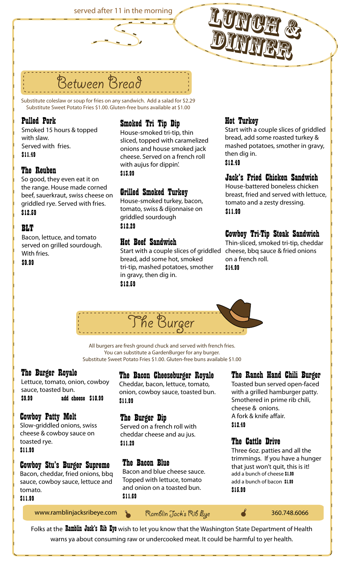served after 11 in the morning



Substitute coleslaw or soup for fries on any sandwich. Add a salad for \$2.29 Substitute Sweet Potato Fries \$1.00. Gluten-free buns available at \$1.00

Between Bread

**Pulled Pork**<br>Smoked 15 hours & topped with slaw. Served with fries. \$11.49

**The Reuben**<br>So good, they even eat it on **S13.99** the range. House made corned beef, sauerkraut, swiss cheese on griddled rye. Served with fries. \$12.59

**BLT**<br>Bacon, lettuce, and tomato<br>compal an arilled accordance **Hot Beef Sandwich** served on grilled sourdough. With fries.

\$9.99

# **Smoked Tri Tip Dip**<br>House-smoked tri-tip, thin

sliced, topped with caramelized onions and house smoked jack cheese. Served on a french roll with aujus for dippin'.

**Grilled Smoked Turkey**<br>House-smoked turkey, bacon, tomato, swiss & dijonnaise on griddled sourdough

bread, add some hot, smoked tri-tip, mashed potatoes, smother in gravy, then dig in. \$12.59

**Hot Turkey**<br>Start with a couple slices of griddled bread, add some roasted turkey & mashed potatoes, smother in gravy, then dig in. \$12.49

### **Jack's Fried Chicken Sandwich**<br>House-battered boneless chicken

breast, fried and served with lettuce, tomato and a zesty dressing. \$11.99

### **Cowboy Tri-Tip Steak Sandwich<br>Thin-sliced, smoked tri-tip, cheddar**

EGANGLE STAT THE SOULD MANUST THE STATE OF THE STATE OF THE STATE STATE STATE STATE STATE STATE STATE STATE ST<br>Start with a couple slices of griddled cheese, bbq sauce & fried onions on a french roll. \$14.99



All burgers are fresh ground chuck and served with french fries. You can substitute a GardenBurger for any burger. Substitute Sweet Potato Fries \$1.00. Gluten-free buns available \$1.00

**The Burger Royale**<br>Lettuce, tomato, onion, cowboy sauce, toasted bun. \$9.99 add cheese \$10.99

**Cowboy Patty Melt**<br>Slow-griddled onions, swiss cheese & cowboy sauce on toasted rye. \$11.99

## **Cowboy Stu's Burger Supreme**<br>Bacon, cheddar, fried onions, bbq

sauce, cowboy sauce, lettuce and tomato.

### \$11.99

### **The Bacon Cheeseburger Royale**<br>Cheddar, bacon, lettuce, tomato,

onion, cowboy sauce, toasted bun. \$11.99

The Burger Dip<br>Served on a french roll with cheddar cheese and au jus. \$11.29

**The Bacon Blue**<br>Bacon and blue cheese sauce. Topped with lettuce, tomato and onion on a toasted bun. \$11.69

## **The Ranch Hand Chili Burger<br>Toasted bun served open-faced**

with a grilled hamburger patty. Smothered in prime rib chili, cheese & onions. A fork & knife affair. \$12.49

The Cattle Drive<br>Three 60z. patties and all the trimmings. If you have a hunger that just won't quit, this is it! add a bunch of cheese \$1.99 add a bunch of bacon \$1.99 \$15.99

www.ramblinjacksribeye.com & Ramblin Jack's Rib Eye 360.748.6066

Folks at the **Ramblin Jack's Rib Eye** wish to let you know that the Washington State Department of Health warns ya about consuming raw or undercooked meat. It could be harmful to yer health.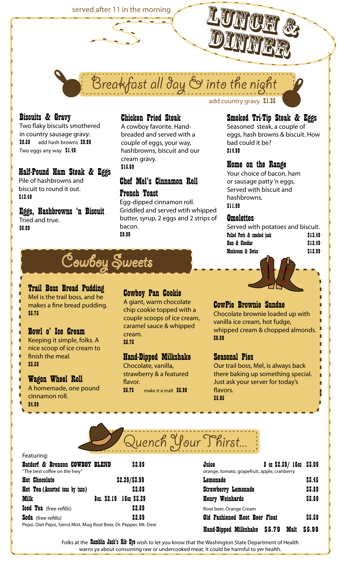

reakfast all day & into the ni

**Biscuits & Gravy**<br>Two flaky biscuits smothered in country sausage gravy. \$8.59 add hash browns \$9.99 Two eggs any way \$1.49

**Half-Pound Ham Steak & Eggs**<br>Pile of hashbrowns and biscuit to round it out. \$13.49

\$8.99

### **Chicken Fried Steak**<br>A cowboy favorite. Hand-

breaded and served with a couple of eggs, your way, hashbrowns, biscuit and our cream gravy. \$15.69

# Chef Mel's Cinnamon Roll

**French Toast**<br>Egg-dipped cinnamon roll. Griddled and served wtih whipped butter, syrup, 2 eggs and 2 strips of bacon. \$9.99 Eggs, Hashbrowns 'n Biscuit Fog-alpped cinnamon roll.<br>Tried and true. **Tried and true.** Tried and true.

add country gravy \$1.25

## **Smoked Tri-Tip Steak & Eggs**<br>Seasoned steak, a couple of

eggs, hash browns & biscuit. How bad could it be? \$14.99

**Home on the Range**<br>Your choice of bacon, ham or sausage patty 'n eggs. Served with biscuit and hashbrowns.

| <b>Omelettes</b>                  |         |
|-----------------------------------|---------|
| Served with potatoes and biscuit. |         |
| Pulled Pork & smoked jack         | \$13.49 |
| Ham & Cheddar                     | \$12.49 |
| Mushroom & Swiss                  | \$12.99 |
|                                   |         |



### **Trail Boss Bread Pudding**<br>Mellis the trail boss, and he makes a fine bread pudding.

\$5.75

**Bowl o' Ice Cream**<br>Keeping it simple, folks. A nice scoop of ice cream to finish the meal.

\$3.50

**Wagon Wheel Roll**<br>A homemade, one pound cinnamon roll. \$4.99

**Cowboy Pan Cookie**<br>A giant, warm chocolate

chip cookie topped with a couple scoops of ice cream, caramel sauce & whipped cream. \$5.75

## **Hand-Dipped Milkshake**<br>Chocolate, vanilla,

strawberry & a featured flavor. \$5.75 make it a malt \$5.99

**CowPie Brownie Sundae**<br>Chocolate brownie loaded up with vanilla ice cream, hot fudge, whipped cream & chopped almonds. \$6.99

there baking up something special. flavors. \$5.95

|  | Jench Your Phirst |  |
|--|-------------------|--|
|  |                   |  |
|  |                   |  |
|  |                   |  |

### Featuring:

| . Cacama                        |                              |                                              |        |
|---------------------------------|------------------------------|----------------------------------------------|--------|
| Batdorf & Bronson COWBOY BLEND  | \$2.89                       | 8 oz \$2.39/ 16oz \$3.99<br>Juice            |        |
| "The best coffee on the hwy"    |                              | orange, tomato, grapefruit, apple, cranberry |        |
| Hot Chocolate                   | \$2.29/\$3.99                | Lemonade                                     | \$3.45 |
| Hot Tea (Assorted teas by tazo) | \$2.89                       | <b>Strawberry Lemonade</b>                   | \$3.89 |
| Milk                            | 16oz \$3.29<br>$80z.$ \$2.19 | <b>Henry Weinhards</b>                       | \$3.89 |
| Iced Tea (free refills)         | \$2.89                       | Root beer, Orange Cream                      |        |
| Soda (free refills)             | \$2.89                       | Old Fashioned Root Beer Float                | \$5.59 |

| Batdorf & Bronson COWBOY BLEND<br>"The best coffee on the hwy"     | \$2.89                  | Juice<br>8 oz \$2.39/ 16oz \$3.99<br>orange, tomato, grapefruit, apple, cranberry |        |
|--------------------------------------------------------------------|-------------------------|-----------------------------------------------------------------------------------|--------|
| Hot Chocolate                                                      | \$2.29/53.99            | Lemonade                                                                          | \$3.45 |
| Hot Tea (Assorted teas by tazo)                                    | \$2.89                  | <b>Strawberry Lemonade</b>                                                        | \$3.89 |
| Milk                                                               | 802. \$2.19 1602 \$3.29 | <b>Henry Weinhards</b>                                                            | \$3,89 |
| Iced Tea (free refills)                                            | \$2.89                  | Root beer, Orange Cream                                                           |        |
| Soda (free refills)                                                | \$2.89                  | Old Fashioned Root Beer Float                                                     | \$5,59 |
| Pepsi, Diet Pepsi, Sierra Mist, Mug Root Beer, Dr. Pepper, Mt. Dew |                         | Hand-Dipped Milkshake \$5.79<br>Malt                                              | \$5.99 |

Folks at the **Ramblin Jack's Rib Eye** wish to let you know that the Washington State Department of Health warns ya about consuming raw or undercooked meat. It could be harmful to yer health.

**Seasonal Pies**<br>Our trail boss, Mel, is always back Just ask your server for today's